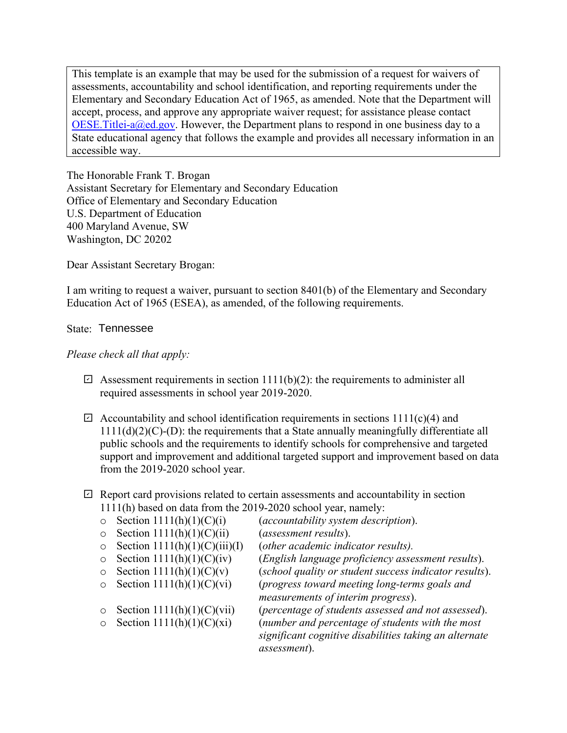OESE. Titlei-a@ed.gov. However, the Department plans to respond in one business day to a State educational agency that follows the example and provides all necessary information in an accessible way. This template is an example that may be used for the submission of a request for waivers of assessments, accountability and school identification, and reporting requirements under the Elementary and Secondary Education Act of 1965, as amended. Note that the Department will accept, process, and approve any appropriate waiver request; for assistance please contact

U.S. Department of Education 400 Maryland Avenue, SW Washington, DC 20202 The Honorable Frank T. Brogan Assistant Secretary for Elementary and Secondary Education Office of Elementary and Secondary Education

Dear Assistant Secretary Brogan:

I am writing to request a waiver, pursuant to section 8401(b) of the Elementary and Secondary Education Act of 1965 (ESEA), as amended, of the following requirements.

## State: Tennessee

## *Please check all that apply:*

- $\boxdot$  Assessment requirements in section 1111(b)(2): the requirements to administer all required assessments in school year 2019-2020.
- $\boxdot$  Accountability and school identification requirements in sections 1111(c)(4) and  $1111(d)(2)(C)$ -(D): the requirements that a State annually meaningfully differentiate all public schools and the requirements to identify schools for comprehensive and targeted support and improvement and additional targeted support and improvement based on data from the 2019-2020 school year.
- $\boxdot$  Report card provisions related to certain assessments and accountability in section 1111(h) based on data from the 2019-2020 school year, namely:
	-
- 
- o Section 1111(h)(1)(C)(ii) (*assessment results*).
- o Section  $1111(h)(1)(C)(iii)(I)$ <br>
o Section  $1111(h)(1)(C)(iv)$
- 
- 
- 
- 
- 
- $\circ$  Section 1111(h)(1)(C)(i) (*accountability system description*).<br>  $\circ$  Section 1111(h)(1)(C)(ii) (*assessment results*).
	-
	-
- o Section 1111(h)(1)(C)(iv) (*English language proficiency assessment results*).
	- (school quality or student success indicator results).
- o Section 1111(h)(1)(C)(vi) (*progress toward meeting long-terms goals and measurements of interim progress*).
- o Section  $1111(h)(1)(C)(vi)$  (*percentage of students assessed and not assessed*).<br>  $\circ$  Section  $1111(h)(1)(C)(xi)$  (*number and percentage of students with the most* (number and percentage of students with the most *significant cognitive disabilities taking an alternate assessment*).